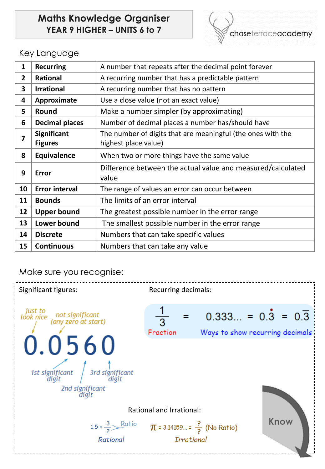# **Maths Knowledge Organiser YEAR 9 HIGHER – UNITS 6 to 7**



### Key Language

| 1              | <b>Recurring</b>                     | A number that repeats after the decimal point forever                               |
|----------------|--------------------------------------|-------------------------------------------------------------------------------------|
| $\overline{2}$ | <b>Rational</b>                      | A recurring number that has a predictable pattern                                   |
| 3              | <b>Irrational</b>                    | A recurring number that has no pattern                                              |
| 4              | Approximate                          | Use a close value (not an exact value)                                              |
| 5              | <b>Round</b>                         | Make a number simpler (by approximating)                                            |
| 6              | <b>Decimal places</b>                | Number of decimal places a number has/should have                                   |
| $\overline{7}$ | <b>Significant</b><br><b>Figures</b> | The number of digits that are meaningful (the ones with the<br>highest place value) |
| 8              | <b>Equivalence</b>                   | When two or more things have the same value                                         |
| 9              | <b>Error</b>                         | Difference between the actual value and measured/calculated<br>value                |
| 10             | <b>Error interval</b>                | The range of values an error can occur between                                      |
| 11             | <b>Bounds</b>                        | The limits of an error interval                                                     |
| 12             | <b>Upper bound</b>                   | The greatest possible number in the error range                                     |
| 13             | Lower bound                          | The smallest possible number in the error range                                     |
| 14             | <b>Discrete</b>                      | Numbers that can take specific values                                               |
| 15             | <b>Continuous</b>                    | Numbers that can take any value                                                     |

#### Make sure you recognise:

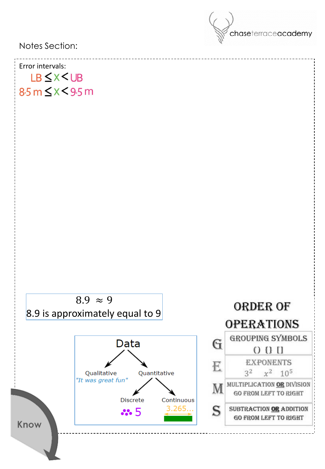chaseterraceacademy Notes Section: Error intervals: LB < X < UB  $8.5 m \leq x < 9.5 m$  $8.9 \approx 9$ ORDER OF 8.9 is approximately equal to 9**OPERATIONS GROUPING SYMBOLS** G Data  $0011$ **EXPONENTS** E  $3^2$   $x^2$   $10^5$ Qualitative **Quantitative** "It was great fun" MULTIPLICATION OR DIVISION M **GO FROM LEFT TO RIGHT Discrete** Continuous  $3.265...$ S SUBTRACTION OR ADDITION  $\mathbf{3.5}$ **GO FROM LEFT TO RIGHT** Know